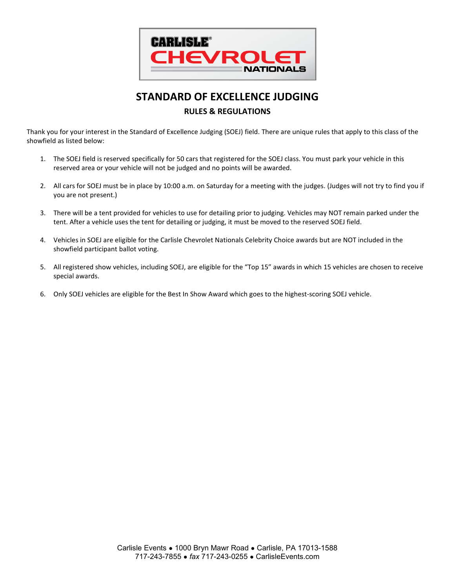

# **STANDARD OF EXCELLENCE JUDGING RULES & REGULATIONS**

Thank you for your interest in the Standard of Excellence Judging (SOEJ) field. There are unique rules that apply to this class of the showfield as listed below:

- 1. The SOEJ field is reserved specifically for 50 cars that registered for the SOEJ class. You must park your vehicle in this reserved area or your vehicle will not be judged and no points will be awarded.
- 2. All cars for SOEJ must be in place by 10:00 a.m. on Saturday for a meeting with the judges. (Judges will not try to find you if you are not present.)
- 3. There will be a tent provided for vehicles to use for detailing prior to judging. Vehicles may NOT remain parked under the tent. After a vehicle uses the tent for detailing or judging, it must be moved to the reserved SOEJ field.
- 4. Vehicles in SOEJ are eligible for the Carlisle Chevrolet Nationals Celebrity Choice awards but are NOT included in the showfield participant ballot voting.
- 5. All registered show vehicles, including SOEJ, are eligible for the "Top 15" awards in which 15 vehicles are chosen to receive special awards.
- 6. Only SOEJ vehicles are eligible for the Best In Show Award which goes to the highest-scoring SOEJ vehicle.